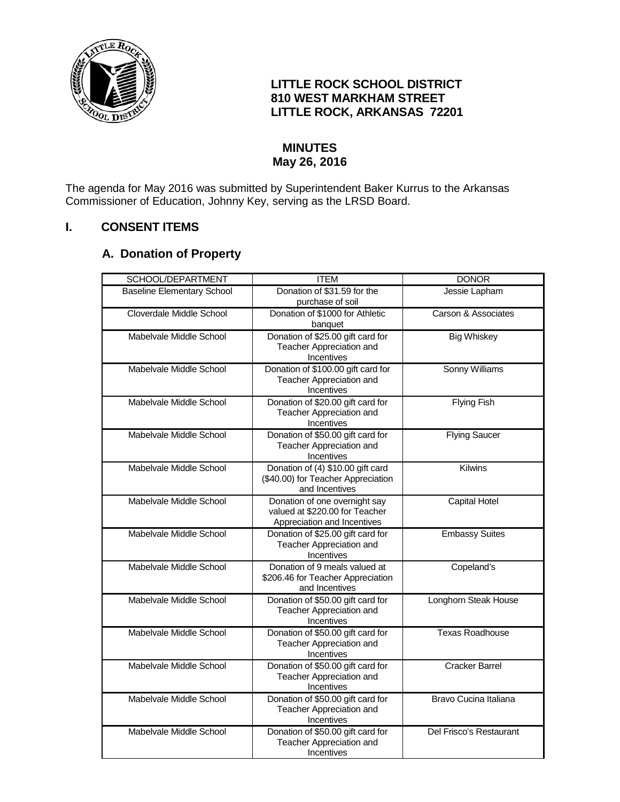

## **LITTLE ROCK SCHOOL DISTRICT 810 WEST MARKHAM STREET LITTLE ROCK, ARKANSAS 72201**

# **MINUTES May 26, 2016**

The agenda for May 2016 was submitted by Superintendent Baker Kurrus to the Arkansas Commissioner of Education, Johnny Key, serving as the LRSD Board.

# **I. CONSENT ITEMS**

# **A. Donation of Property**

| SCHOOL/DEPARTMENT                 | <b>ITEM</b>                                                                                    | <b>DONOR</b>            |
|-----------------------------------|------------------------------------------------------------------------------------------------|-------------------------|
| <b>Baseline Elementary School</b> | Donation of \$31.59 for the<br>purchase of soil                                                | Jessie Lapham           |
| Cloverdale Middle School          | Donation of \$1000 for Athletic<br>banquet                                                     | Carson & Associates     |
| Mabelvale Middle School           | Donation of \$25.00 gift card for<br>Teacher Appreciation and<br>Incentives                    | <b>Big Whiskey</b>      |
| Mabelvale Middle School           | Donation of \$100.00 gift card for<br>Teacher Appreciation and<br>Incentives                   | Sonny Williams          |
| Mabelvale Middle School           | Donation of \$20.00 gift card for<br>Teacher Appreciation and<br>Incentives                    | <b>Flying Fish</b>      |
| Mabelvale Middle School           | Donation of \$50.00 gift card for<br>Teacher Appreciation and<br>Incentives                    | <b>Flying Saucer</b>    |
| Mabelvale Middle School           | Donation of (4) \$10.00 gift card<br>(\$40.00) for Teacher Appreciation<br>and Incentives      | <b>Kilwins</b>          |
| Mabelvale Middle School           | Donation of one overnight say<br>valued at \$220.00 for Teacher<br>Appreciation and Incentives | Capital Hotel           |
| Mabelvale Middle School           | Donation of \$25.00 gift card for<br>Teacher Appreciation and<br>Incentives                    | <b>Embassy Suites</b>   |
| Mabelvale Middle School           | Donation of 9 meals valued at<br>\$206.46 for Teacher Appreciation<br>and Incentives           | Copeland's              |
| Mabelvale Middle School           | Donation of \$50.00 gift card for<br>Teacher Appreciation and<br>Incentives                    | Longhorn Steak House    |
| Mabelvale Middle School           | Donation of \$50.00 gift card for<br>Teacher Appreciation and<br>Incentives                    | <b>Texas Roadhouse</b>  |
| Mabelvale Middle School           | Donation of \$50.00 gift card for<br>Teacher Appreciation and<br>Incentives                    | <b>Cracker Barrel</b>   |
| Mabelvale Middle School           | Donation of \$50.00 gift card for<br>Teacher Appreciation and<br>Incentives                    | Bravo Cucina Italiana   |
| Mabelvale Middle School           | Donation of \$50.00 gift card for<br>Teacher Appreciation and<br>Incentives                    | Del Frisco's Restaurant |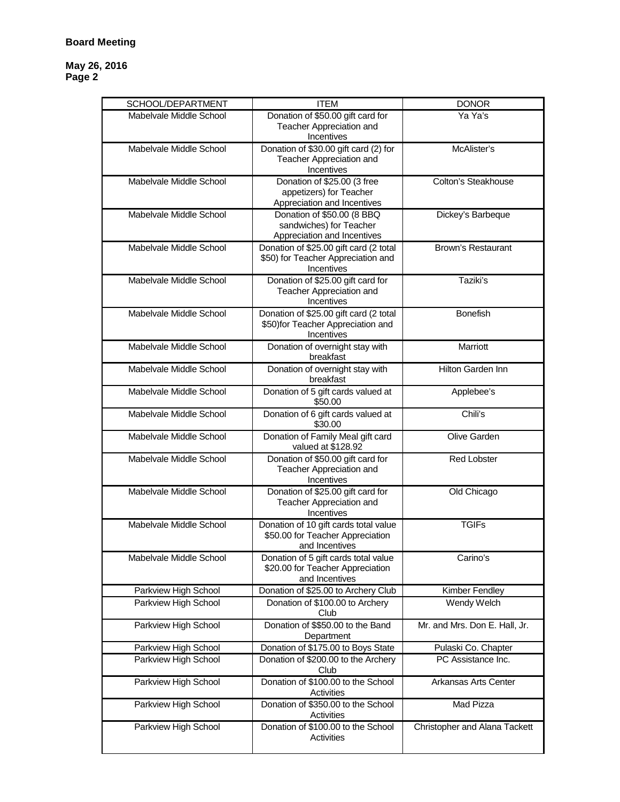| SCHOOL/DEPARTMENT       | <b>ITEM</b>                                                                                 | <b>DONOR</b>                  |
|-------------------------|---------------------------------------------------------------------------------------------|-------------------------------|
| Mabelvale Middle School | Donation of \$50.00 gift card for<br>Teacher Appreciation and<br>Incentives                 | Ya Ya's                       |
| Mabelvale Middle School | Donation of \$30.00 gift card (2) for<br>Teacher Appreciation and<br>Incentives             | McAlister's                   |
| Mabelvale Middle School | Donation of \$25.00 (3 free<br>appetizers) for Teacher<br>Appreciation and Incentives       | <b>Colton's Steakhouse</b>    |
| Mabelvale Middle School | Donation of \$50.00 (8 BBQ<br>sandwiches) for Teacher<br>Appreciation and Incentives        | Dickey's Barbeque             |
| Mabelvale Middle School | Donation of \$25.00 gift card (2 total<br>\$50) for Teacher Appreciation and<br>Incentives  | Brown's Restaurant            |
| Mabelvale Middle School | Donation of \$25.00 gift card for<br>Teacher Appreciation and<br>Incentives                 | Taziki's                      |
| Mabelvale Middle School | Donation of \$25.00 gift card (2 total<br>\$50)for Teacher Appreciation and<br>Incentives   | <b>Bonefish</b>               |
| Mabelvale Middle School | Donation of overnight stay with<br>breakfast                                                | Marriott                      |
| Mabelvale Middle School | Donation of overnight stay with<br>breakfast                                                | <b>Hilton Garden Inn</b>      |
| Mabelvale Middle School | Donation of 5 gift cards valued at<br>\$50.00                                               | Applebee's                    |
| Mabelvale Middle School | Donation of 6 gift cards valued at<br>\$30.00                                               | Chili's                       |
| Mabelvale Middle School | Donation of Family Meal gift card<br>valued at \$128.92                                     | Olive Garden                  |
| Mabelvale Middle School | Donation of \$50.00 gift card for<br>Teacher Appreciation and<br>Incentives                 | <b>Red Lobster</b>            |
| Mabelvale Middle School | Donation of \$25.00 gift card for<br>Teacher Appreciation and<br>Incentives                 | Old Chicago                   |
| Mabelvale Middle School | Donation of 10 gift cards total value<br>\$50.00 for Teacher Appreciation<br>and Incentives | <b>TGIFs</b>                  |
| Mabelvale Middle School | Donation of 5 gift cards total value<br>\$20.00 for Teacher Appreciation<br>and Incentives  | Carino's                      |
| Parkview High School    | Donation of \$25.00 to Archery Club                                                         | Kimber Fendley                |
| Parkview High School    | Donation of \$100.00 to Archery<br>Club                                                     | Wendy Welch                   |
| Parkview High School    | Donation of \$\$50.00 to the Band<br>Department                                             | Mr. and Mrs. Don E. Hall, Jr. |
| Parkview High School    | Donation of \$175.00 to Boys State                                                          | Pulaski Co. Chapter           |
| Parkview High School    | Donation of \$200.00 to the Archery<br>Club                                                 | PC Assistance Inc.            |
| Parkview High School    | Donation of \$100.00 to the School<br>Activities                                            | Arkansas Arts Center          |
| Parkview High School    | Donation of \$350.00 to the School<br>Activities                                            | Mad Pizza                     |
| Parkview High School    | Donation of \$100.00 to the School<br>Activities                                            | Christopher and Alana Tackett |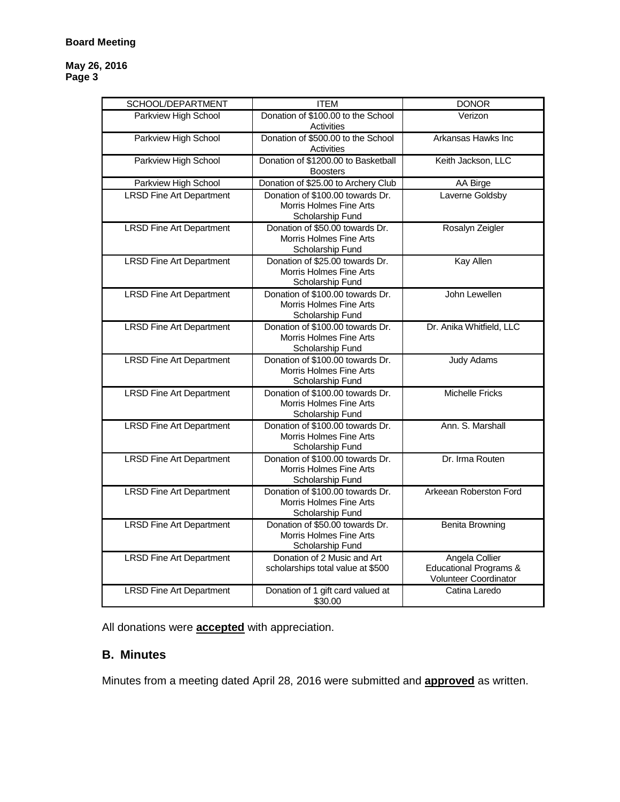#### **Board Meeting**

#### **May 26, 2016 Page 3**

| SCHOOL/DEPARTMENT               | <b>ITEM</b>                                                                           | <b>DONOR</b>                                                                 |
|---------------------------------|---------------------------------------------------------------------------------------|------------------------------------------------------------------------------|
| Parkview High School            | Donation of \$100,00 to the School<br><b>Activities</b>                               | Verizon                                                                      |
| Parkview High School            | Donation of \$500.00 to the School<br>Activities                                      | Arkansas Hawks Inc                                                           |
| Parkview High School            | Donation of \$1200.00 to Basketball<br><b>Boosters</b>                                | Keith Jackson, LLC                                                           |
| Parkview High School            | Donation of \$25.00 to Archery Club                                                   | AA Birge                                                                     |
| <b>LRSD Fine Art Department</b> | Donation of \$100.00 towards Dr.<br>Morris Holmes Fine Arts<br>Scholarship Fund       | Laverne Goldsby                                                              |
| <b>LRSD Fine Art Department</b> | Donation of \$50,00 towards Dr.<br>Morris Holmes Fine Arts<br>Scholarship Fund        | Rosalyn Zeigler                                                              |
| <b>LRSD Fine Art Department</b> | Donation of \$25.00 towards Dr.<br>Morris Holmes Fine Arts<br>Scholarship Fund        | <b>Kay Allen</b>                                                             |
| <b>LRSD Fine Art Department</b> | Donation of \$100.00 towards Dr.<br>Morris Holmes Fine Arts<br>Scholarship Fund       | John Lewellen                                                                |
| <b>LRSD Fine Art Department</b> | Donation of \$100.00 towards Dr.<br>Morris Holmes Fine Arts<br>Scholarship Fund       | Dr. Anika Whitfield, LLC                                                     |
| <b>LRSD Fine Art Department</b> | Donation of \$100.00 towards Dr.<br>Morris Holmes Fine Arts<br>Scholarship Fund       | <b>Judy Adams</b>                                                            |
| <b>LRSD Fine Art Department</b> | Donation of \$100.00 towards Dr.<br>Morris Holmes Fine Arts<br>Scholarship Fund       | <b>Michelle Fricks</b>                                                       |
| <b>LRSD Fine Art Department</b> | Donation of \$100.00 towards Dr.<br>Morris Holmes Fine Arts<br>Scholarship Fund       | Ann. S. Marshall                                                             |
| <b>LRSD Fine Art Department</b> | Donation of \$100.00 towards Dr.<br>Morris Holmes Fine Arts<br>Scholarship Fund       | Dr. Irma Routen                                                              |
| <b>LRSD Fine Art Department</b> | Donation of \$100.00 towards Dr.<br>Morris Holmes Fine Arts<br>Scholarship Fund       | Arkeean Roberston Ford                                                       |
| <b>LRSD Fine Art Department</b> | Donation of \$50.00 towards Dr.<br><b>Morris Holmes Fine Arts</b><br>Scholarship Fund | <b>Benita Browning</b>                                                       |
| <b>LRSD Fine Art Department</b> | Donation of 2 Music and Art<br>scholarships total value at \$500                      | Angela Collier<br><b>Educational Programs &amp;</b><br>Volunteer Coordinator |
| <b>LRSD Fine Art Department</b> | Donation of 1 gift card valued at<br>\$30.00                                          | Catina Laredo                                                                |

All donations were **accepted** with appreciation.

# **B. Minutes**

Minutes from a meeting dated April 28, 2016 were submitted and **approved** as written.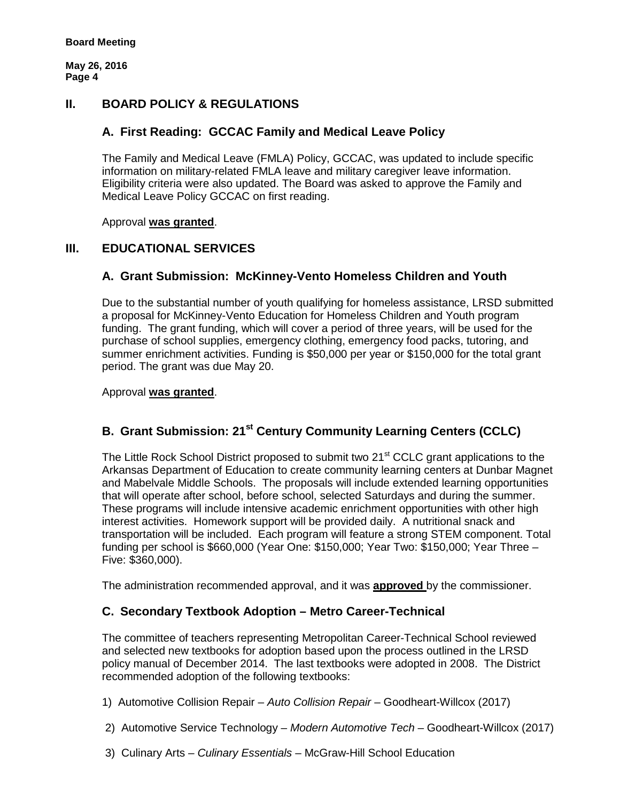### **II. BOARD POLICY & REGULATIONS**

### **A. First Reading: GCCAC Family and Medical Leave Policy**

The Family and Medical Leave (FMLA) Policy, GCCAC, was updated to include specific information on military-related FMLA leave and military caregiver leave information. Eligibility criteria were also updated. The Board was asked to approve the Family and Medical Leave Policy GCCAC on first reading.

Approval **was granted**.

## **III. EDUCATIONAL SERVICES**

## **A. Grant Submission: McKinney-Vento Homeless Children and Youth**

Due to the substantial number of youth qualifying for homeless assistance, LRSD submitted a proposal for McKinney-Vento Education for Homeless Children and Youth program funding. The grant funding, which will cover a period of three years, will be used for the purchase of school supplies, emergency clothing, emergency food packs, tutoring, and summer enrichment activities. Funding is \$50,000 per year or \$150,000 for the total grant period. The grant was due May 20.

#### Approval **was granted**.

# **B. Grant Submission: 21st Century Community Learning Centers (CCLC)**

The Little Rock School District proposed to submit two 21<sup>st</sup> CCLC grant applications to the Arkansas Department of Education to create community learning centers at Dunbar Magnet and Mabelvale Middle Schools. The proposals will include extended learning opportunities that will operate after school, before school, selected Saturdays and during the summer. These programs will include intensive academic enrichment opportunities with other high interest activities. Homework support will be provided daily. A nutritional snack and transportation will be included. Each program will feature a strong STEM component. Total funding per school is \$660,000 (Year One: \$150,000; Year Two: \$150,000; Year Three – Five: \$360,000).

The administration recommended approval, and it was **approved** by the commissioner.

#### **C. Secondary Textbook Adoption – Metro Career-Technical**

The committee of teachers representing Metropolitan Career-Technical School reviewed and selected new textbooks for adoption based upon the process outlined in the LRSD policy manual of December 2014. The last textbooks were adopted in 2008. The District recommended adoption of the following textbooks:

1) Automotive Collision Repair – *Auto Collision Repair* – Goodheart-Willcox (2017)

- 2) Automotive Service Technology *Modern Automotive Tech* Goodheart-Willcox (2017)
- 3) Culinary Arts *Culinary Essentials* McGraw-Hill School Education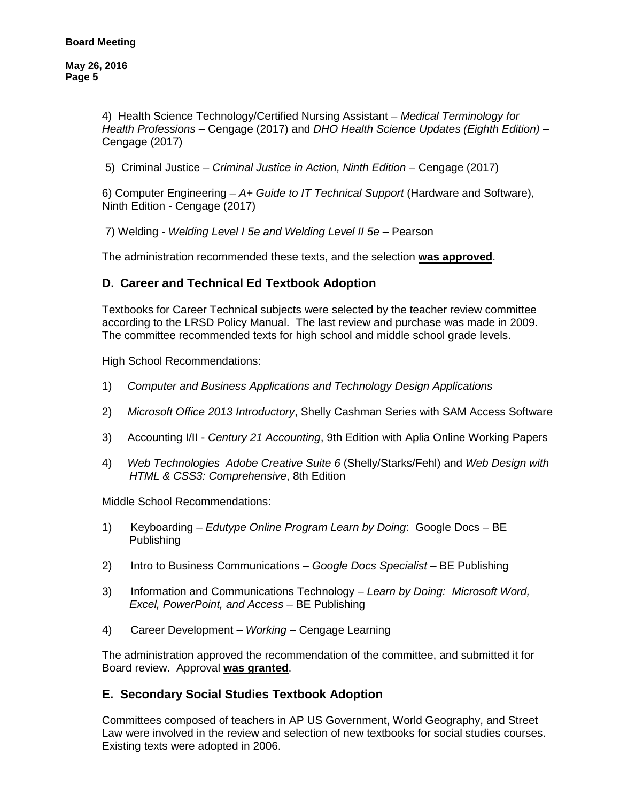> 4) Health Science Technology/Certified Nursing Assistant – *Medical Terminology for Health Professions* – Cengage (2017) and *DHO Health Science Updates (Eighth Edition)* – Cengage (2017)

5) Criminal Justice – *Criminal Justice in Action, Ninth Edition* – Cengage (2017)

6) Computer Engineering – *A+ Guide to IT Technical Support* (Hardware and Software), Ninth Edition - Cengage (2017)

7) Welding - *Welding Level I 5e and Welding Level II 5e* – Pearson

The administration recommended these texts, and the selection **was approved**.

#### **D. Career and Technical Ed Textbook Adoption**

Textbooks for Career Technical subjects were selected by the teacher review committee according to the LRSD Policy Manual. The last review and purchase was made in 2009. The committee recommended texts for high school and middle school grade levels.

High School Recommendations:

- 1) *Computer and Business Applications and Technology Design Applications*
- 2) *Microsoft Office 2013 Introductory*, Shelly Cashman Series with SAM Access Software
- 3) Accounting I/II *Century 21 Accounting*, 9th Edition with Aplia Online Working Papers
- 4) *Web Technologies Adobe Creative Suite 6* (Shelly/Starks/Fehl) and *Web Design with HTML & CSS3: Comprehensive*, 8th Edition

Middle School Recommendations:

- 1) Keyboarding *Edutype Online Program Learn by Doing*: Google Docs BE Publishing
- 2) Intro to Business Communications *Google Docs Specialist* BE Publishing
- 3) Information and Communications Technology *Learn by Doing: Microsoft Word, Excel, PowerPoint, and Access* – BE Publishing
- 4) Career Development *Working* Cengage Learning

The administration approved the recommendation of the committee, and submitted it for Board review. Approval **was granted**.

#### **E. Secondary Social Studies Textbook Adoption**

Committees composed of teachers in AP US Government, World Geography, and Street Law were involved in the review and selection of new textbooks for social studies courses. Existing texts were adopted in 2006.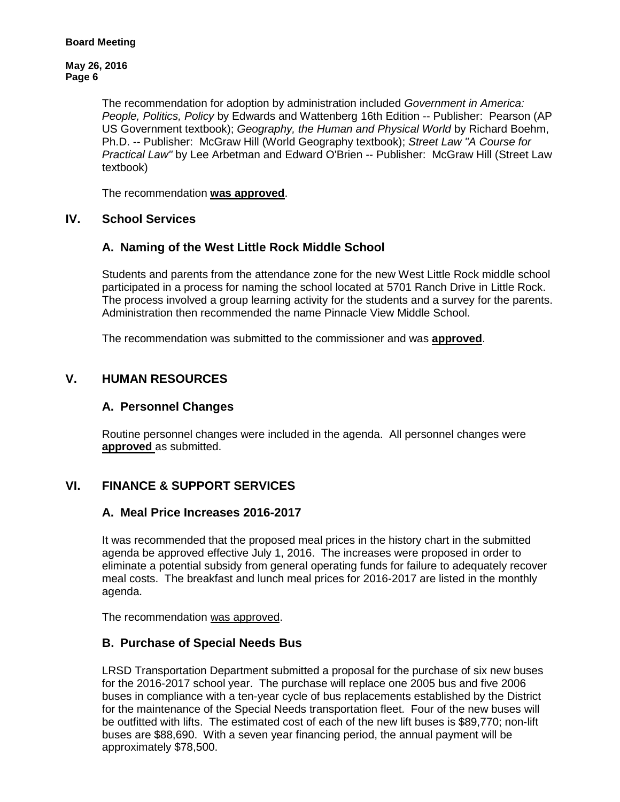The recommendation for adoption by administration included *Government in America: People, Politics, Policy* by Edwards and Wattenberg 16th Edition -- Publisher: Pearson (AP US Government textbook); *Geography, the Human and Physical World* by Richard Boehm, Ph.D. -- Publisher: McGraw Hill (World Geography textbook); *Street Law "A Course for Practical Law"* by Lee Arbetman and Edward O'Brien -- Publisher: McGraw Hill (Street Law textbook)

The recommendation **was approved**.

## **IV. School Services**

## **A. Naming of the West Little Rock Middle School**

Students and parents from the attendance zone for the new West Little Rock middle school participated in a process for naming the school located at 5701 Ranch Drive in Little Rock. The process involved a group learning activity for the students and a survey for the parents. Administration then recommended the name Pinnacle View Middle School.

The recommendation was submitted to the commissioner and was **approved**.

# **V. HUMAN RESOURCES**

### **A. Personnel Changes**

Routine personnel changes were included in the agenda. All personnel changes were **approved** as submitted.

# **VI. FINANCE & SUPPORT SERVICES**

#### **A. Meal Price Increases 2016-2017**

It was recommended that the proposed meal prices in the history chart in the submitted agenda be approved effective July 1, 2016. The increases were proposed in order to eliminate a potential subsidy from general operating funds for failure to adequately recover meal costs. The breakfast and lunch meal prices for 2016-2017 are listed in the monthly agenda.

The recommendation was approved.

# **B. Purchase of Special Needs Bus**

LRSD Transportation Department submitted a proposal for the purchase of six new buses for the 2016-2017 school year. The purchase will replace one 2005 bus and five 2006 buses in compliance with a ten-year cycle of bus replacements established by the District for the maintenance of the Special Needs transportation fleet. Four of the new buses will be outfitted with lifts. The estimated cost of each of the new lift buses is \$89,770; non-lift buses are \$88,690. With a seven year financing period, the annual payment will be approximately \$78,500.